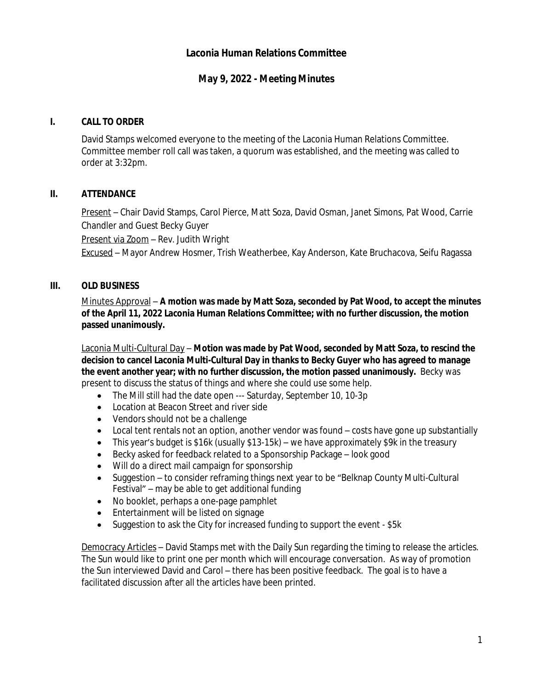## **Laconia Human Relations Committee**

# **May 9, 2022 - Meeting Minutes**

#### **I. CALL TO ORDER**

David Stamps welcomed everyone to the meeting of the Laconia Human Relations Committee. Committee member roll call was taken, a quorum was established, and the meeting was called to order at 3:32pm.

### **II. ATTENDANCE**

Present – Chair David Stamps, Carol Pierce, Matt Soza, David Osman, Janet Simons, Pat Wood, Carrie Chandler and Guest Becky Guyer

Present via Zoom - Rev. Judith Wright

Excused – Mayor Andrew Hosmer, Trish Weatherbee, Kay Anderson, Kate Bruchacova, Seifu Ragassa

### **III. OLD BUSINESS**

Minutes Approval – **A motion was made by Matt Soza, seconded by Pat Wood, to accept the minutes of the April 11, 2022 Laconia Human Relations Committee; with no further discussion, the motion passed unanimously.**

Laconia Multi-Cultural Day – **Motion was made by Pat Wood, seconded by Matt Soza, to rescind the decision to cancel Laconia Multi-Cultural Day in thanks to Becky Guyer who has agreed to manage the event another year; with no further discussion, the motion passed unanimously.** Becky was present to discuss the status of things and where she could use some help.

- The Mill still had the date open --- Saturday, September 10, 10-3p
- Location at Beacon Street and river side
- Vendors should not be a challenge
- Local tent rentals not an option, another vendor was found costs have gone up substantially
- This year's budget is \$16k (usually \$13-15k) we have approximately \$9k in the treasury
- Becky asked for feedback related to a Sponsorship Package look good
- Will do a direct mail campaign for sponsorship
- Suggestion to consider reframing things next year to be "Belknap County Multi-Cultural Festival" – may be able to get additional funding
- No booklet, perhaps a one-page pamphlet
- Entertainment will be listed on signage
- Suggestion to ask the City for increased funding to support the event \$5k

Democracy Articles – David Stamps met with the Daily Sun regarding the timing to release the articles. The Sun would like to print one per month which will encourage conversation. As way of promotion the Sun interviewed David and Carol – there has been positive feedback. The goal is to have a facilitated discussion after all the articles have been printed.